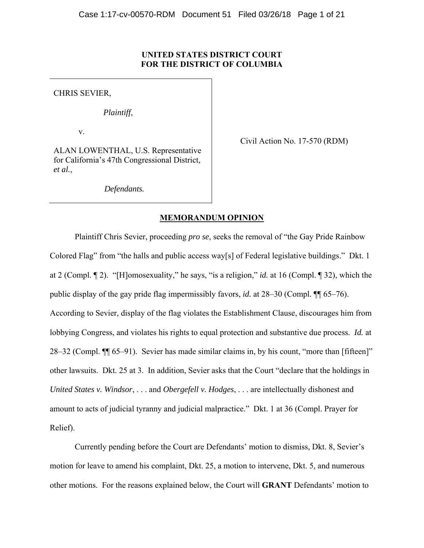# **UNITED STATES DISTRICT COURT FOR THE DISTRICT OF COLUMBIA**

CHRIS SEVIER,

*Plaintiff*,

v.

Civil Action No. 17-570 (RDM)

ALAN LOWENTHAL, U.S. Representative for California's 47th Congressional District, *et al.*,

*Defendants.*

# **MEMORANDUM OPINION**

Plaintiff Chris Sevier, proceeding *pro se*, seeks the removal of "the Gay Pride Rainbow Colored Flag" from "the halls and public access way[s] of Federal legislative buildings." Dkt. 1 at 2 (Compl. ¶ 2). "[H]omosexuality," he says, "is a religion," *id.* at 16 (Compl. ¶ 32), which the public display of the gay pride flag impermissibly favors, *id.* at 28–30 (Compl. ¶¶ 65–76). According to Sevier, display of the flag violates the Establishment Clause, discourages him from lobbying Congress, and violates his rights to equal protection and substantive due process. *Id.* at 28–32 (Compl. ¶¶ 65–91). Sevier has made similar claims in, by his count, "more than [fifteen]" other lawsuits. Dkt. 25 at 3. In addition, Sevier asks that the Court "declare that the holdings in *United States v. Windsor*, . . . and *Obergefell v. Hodges*, . . . are intellectually dishonest and amount to acts of judicial tyranny and judicial malpractice." Dkt. 1 at 36 (Compl. Prayer for Relief).

Currently pending before the Court are Defendants' motion to dismiss, Dkt. 8, Sevier's motion for leave to amend his complaint, Dkt. 25, a motion to intervene, Dkt. 5, and numerous other motions. For the reasons explained below, the Court will **GRANT** Defendants' motion to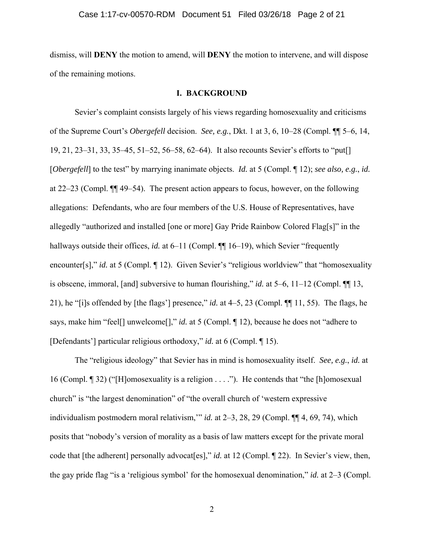dismiss, will **DENY** the motion to amend, will **DENY** the motion to intervene, and will dispose of the remaining motions.

# **I. BACKGROUND**

Sevier's complaint consists largely of his views regarding homosexuality and criticisms of the Supreme Court's *Obergefell* decision. *See, e.g.*, Dkt. 1 at 3, 6, 10–28 (Compl. ¶¶ 5–6, 14, 19, 21, 23–31, 33, 35–45, 51–52, 56–58, 62–64). It also recounts Sevier's efforts to "put[] [*Obergefell*] to the test" by marrying inanimate objects. *Id.* at 5 (Compl. ¶ 12); *see also, e.g.*, *id.* at 22–23 (Compl. ¶¶ 49–54). The present action appears to focus, however, on the following allegations: Defendants, who are four members of the U.S. House of Representatives, have allegedly "authorized and installed [one or more] Gay Pride Rainbow Colored Flag[s]" in the hallways outside their offices, *id.* at 6–11 (Compl.  $\P\P$  16–19), which Sevier "frequently encounter[s]," *id.* at 5 (Compl. 12). Given Sevier's "religious worldview" that "homosexuality is obscene, immoral, [and] subversive to human flourishing," *id.* at 5–6, 11–12 (Compl. ¶¶ 13, 21), he "[i]s offended by [the flags'] presence," *id.* at 4–5, 23 (Compl. ¶¶ 11, 55). The flags, he says, make him "feel[] unwelcome[]," *id.* at 5 (Compl. ¶ 12), because he does not "adhere to [Defendants'] particular religious orthodoxy," *id.* at 6 (Compl. ¶ 15).

The "religious ideology" that Sevier has in mind is homosexuality itself. *See, e.g.*, *id.* at 16 (Compl. ¶ 32) ("[H]omosexuality is a religion . . . ."). He contends that "the [h]omosexual church" is "the largest denomination" of "the overall church of 'western expressive individualism postmodern moral relativism,'" *id.* at 2–3, 28, 29 (Compl. ¶¶ 4, 69, 74), which posits that "nobody's version of morality as a basis of law matters except for the private moral code that [the adherent] personally advocat[es]," *id.* at 12 (Compl. 122). In Sevier's view, then, the gay pride flag "is a 'religious symbol' for the homosexual denomination," *id.* at 2–3 (Compl.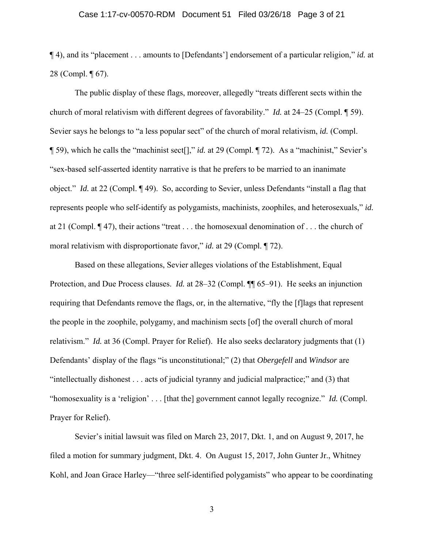#### Case 1:17-cv-00570-RDM Document 51 Filed 03/26/18 Page 3 of 21

¶ 4), and its "placement . . . amounts to [Defendants'] endorsement of a particular religion," *id.* at 28 (Compl. ¶ 67).

The public display of these flags, moreover, allegedly "treats different sects within the church of moral relativism with different degrees of favorability." *Id.* at 24–25 (Compl. ¶ 59). Sevier says he belongs to "a less popular sect" of the church of moral relativism, *id.* (Compl. ¶ 59), which he calls the "machinist sect[]," *id.* at 29 (Compl. ¶ 72). As a "machinist," Sevier's "sex-based self-asserted identity narrative is that he prefers to be married to an inanimate object." *Id.* at 22 (Compl. ¶ 49). So, according to Sevier, unless Defendants "install a flag that represents people who self-identify as polygamists, machinists, zoophiles, and heterosexuals," *id.*  at 21 (Compl. ¶ 47), their actions "treat . . . the homosexual denomination of . . . the church of moral relativism with disproportionate favor," *id.* at 29 (Compl. 172).

Based on these allegations, Sevier alleges violations of the Establishment, Equal Protection, and Due Process clauses. *Id.* at 28–32 (Compl. ¶¶ 65–91). He seeks an injunction requiring that Defendants remove the flags, or, in the alternative, "fly the [f]lags that represent the people in the zoophile, polygamy, and machinism sects [of] the overall church of moral relativism." *Id.* at 36 (Compl. Prayer for Relief). He also seeks declaratory judgments that (1) Defendants' display of the flags "is unconstitutional;" (2) that *Obergefell* and *Windsor* are "intellectually dishonest . . . acts of judicial tyranny and judicial malpractice;" and (3) that "homosexuality is a 'religion' . . . [that the] government cannot legally recognize." *Id.* (Compl. Prayer for Relief).

Sevier's initial lawsuit was filed on March 23, 2017, Dkt. 1, and on August 9, 2017, he filed a motion for summary judgment, Dkt. 4. On August 15, 2017, John Gunter Jr., Whitney Kohl, and Joan Grace Harley—"three self-identified polygamists" who appear to be coordinating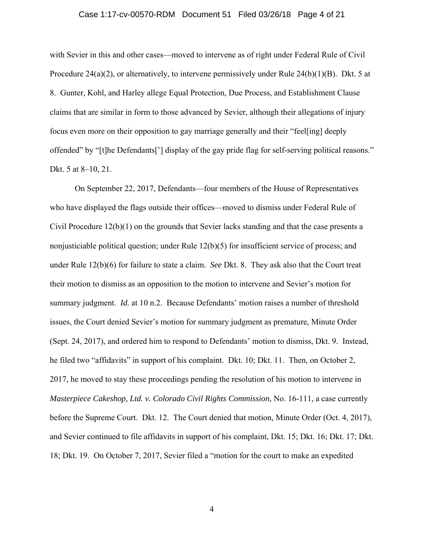#### Case 1:17-cv-00570-RDM Document 51 Filed 03/26/18 Page 4 of 21

with Sevier in this and other cases—moved to intervene as of right under Federal Rule of Civil Procedure 24(a)(2), or alternatively, to intervene permissively under Rule 24(b)(1)(B). Dkt. 5 at 8. Gunter, Kohl, and Harley allege Equal Protection, Due Process, and Establishment Clause claims that are similar in form to those advanced by Sevier, although their allegations of injury focus even more on their opposition to gay marriage generally and their "feel[ing] deeply offended" by "[t]he Defendants['] display of the gay pride flag for self-serving political reasons." Dkt. 5 at 8–10, 21.

On September 22, 2017, Defendants—four members of the House of Representatives who have displayed the flags outside their offices—moved to dismiss under Federal Rule of Civil Procedure 12(b)(1) on the grounds that Sevier lacks standing and that the case presents a nonjusticiable political question; under Rule 12(b)(5) for insufficient service of process; and under Rule 12(b)(6) for failure to state a claim. *See* Dkt. 8. They ask also that the Court treat their motion to dismiss as an opposition to the motion to intervene and Sevier's motion for summary judgment. *Id.* at 10 n.2. Because Defendants' motion raises a number of threshold issues, the Court denied Sevier's motion for summary judgment as premature, Minute Order (Sept. 24, 2017), and ordered him to respond to Defendants' motion to dismiss, Dkt. 9. Instead, he filed two "affidavits" in support of his complaint. Dkt. 10; Dkt. 11. Then, on October 2, 2017, he moved to stay these proceedings pending the resolution of his motion to intervene in *Masterpiece Cakeshop, Ltd. v. Colorado Civil Rights Commission*, No. 16-111, a case currently before the Supreme Court. Dkt. 12. The Court denied that motion, Minute Order (Oct. 4, 2017), and Sevier continued to file affidavits in support of his complaint, Dkt. 15; Dkt. 16; Dkt. 17; Dkt. 18; Dkt. 19. On October 7, 2017, Sevier filed a "motion for the court to make an expedited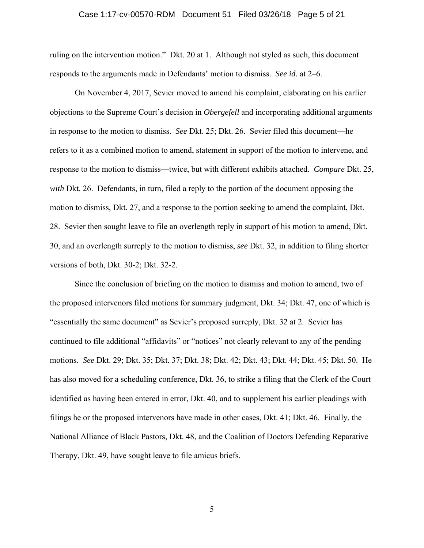#### Case 1:17-cv-00570-RDM Document 51 Filed 03/26/18 Page 5 of 21

ruling on the intervention motion." Dkt. 20 at 1. Although not styled as such, this document responds to the arguments made in Defendants' motion to dismiss. *See id.* at 2–6.

On November 4, 2017, Sevier moved to amend his complaint, elaborating on his earlier objections to the Supreme Court's decision in *Obergefell* and incorporating additional arguments in response to the motion to dismiss. *See* Dkt. 25; Dkt. 26. Sevier filed this document—he refers to it as a combined motion to amend, statement in support of the motion to intervene, and response to the motion to dismiss—twice, but with different exhibits attached. *Compare* Dkt. 25, *with* Dkt. 26. Defendants, in turn, filed a reply to the portion of the document opposing the motion to dismiss, Dkt. 27, and a response to the portion seeking to amend the complaint, Dkt. 28. Sevier then sought leave to file an overlength reply in support of his motion to amend, Dkt. 30, and an overlength surreply to the motion to dismiss, *see* Dkt. 32, in addition to filing shorter versions of both, Dkt. 30-2; Dkt. 32-2.

Since the conclusion of briefing on the motion to dismiss and motion to amend, two of the proposed intervenors filed motions for summary judgment, Dkt. 34; Dkt. 47, one of which is "essentially the same document" as Sevier's proposed surreply, Dkt. 32 at 2. Sevier has continued to file additional "affidavits" or "notices" not clearly relevant to any of the pending motions. *See* Dkt. 29; Dkt. 35; Dkt. 37; Dkt. 38; Dkt. 42; Dkt. 43; Dkt. 44; Dkt. 45; Dkt. 50. He has also moved for a scheduling conference, Dkt. 36, to strike a filing that the Clerk of the Court identified as having been entered in error, Dkt. 40, and to supplement his earlier pleadings with filings he or the proposed intervenors have made in other cases, Dkt. 41; Dkt. 46. Finally, the National Alliance of Black Pastors, Dkt. 48, and the Coalition of Doctors Defending Reparative Therapy, Dkt. 49, have sought leave to file amicus briefs.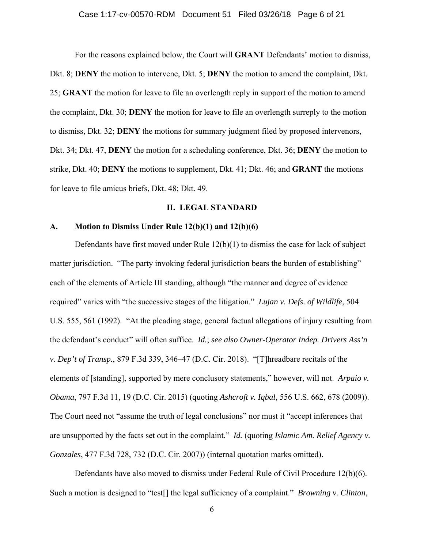#### Case 1:17-cv-00570-RDM Document 51 Filed 03/26/18 Page 6 of 21

For the reasons explained below, the Court will **GRANT** Defendants' motion to dismiss, Dkt. 8; **DENY** the motion to intervene, Dkt. 5; **DENY** the motion to amend the complaint, Dkt. 25; **GRANT** the motion for leave to file an overlength reply in support of the motion to amend the complaint, Dkt. 30; **DENY** the motion for leave to file an overlength surreply to the motion to dismiss, Dkt. 32; **DENY** the motions for summary judgment filed by proposed intervenors, Dkt. 34; Dkt. 47, **DENY** the motion for a scheduling conference, Dkt. 36; **DENY** the motion to strike, Dkt. 40; **DENY** the motions to supplement, Dkt. 41; Dkt. 46; and **GRANT** the motions for leave to file amicus briefs, Dkt. 48; Dkt. 49.

### **II. LEGAL STANDARD**

# **A. Motion to Dismiss Under Rule 12(b)(1) and 12(b)(6)**

Defendants have first moved under Rule  $12(b)(1)$  to dismiss the case for lack of subject matter jurisdiction. "The party invoking federal jurisdiction bears the burden of establishing" each of the elements of Article III standing, although "the manner and degree of evidence required" varies with "the successive stages of the litigation." *Lujan v. Defs. of Wildlife*, 504 U.S. 555, 561 (1992). "At the pleading stage, general factual allegations of injury resulting from the defendant's conduct" will often suffice. *Id.*; *see also Owner-Operator Indep. Drivers Ass'n v. Dep't of Transp.*, 879 F.3d 339, 346–47 (D.C. Cir. 2018). "[T]hreadbare recitals of the elements of [standing], supported by mere conclusory statements," however, will not. *Arpaio v. Obama*, 797 F.3d 11, 19 (D.C. Cir. 2015) (quoting *Ashcroft v. Iqbal*, 556 U.S. 662, 678 (2009)). The Court need not "assume the truth of legal conclusions" nor must it "accept inferences that are unsupported by the facts set out in the complaint." *Id.* (quoting *Islamic Am. Relief Agency v. Gonzales*, 477 F.3d 728, 732 (D.C. Cir. 2007)) (internal quotation marks omitted).

Defendants have also moved to dismiss under Federal Rule of Civil Procedure 12(b)(6). Such a motion is designed to "test[] the legal sufficiency of a complaint." *Browning v. Clinton*,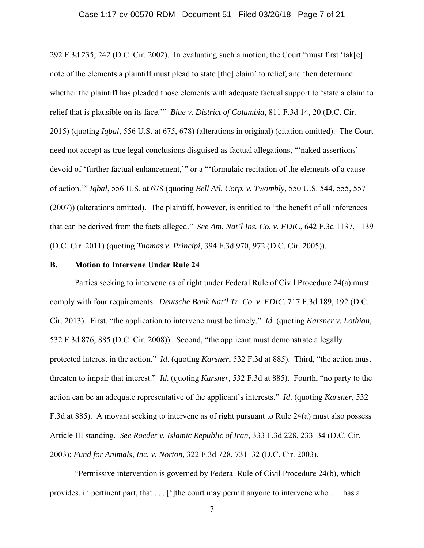#### Case 1:17-cv-00570-RDM Document 51 Filed 03/26/18 Page 7 of 21

292 F.3d 235, 242 (D.C. Cir. 2002). In evaluating such a motion, the Court "must first 'tak[e] note of the elements a plaintiff must plead to state [the] claim' to relief, and then determine whether the plaintiff has pleaded those elements with adequate factual support to 'state a claim to relief that is plausible on its face.'" *Blue v. District of Columbia*, 811 F.3d 14, 20 (D.C. Cir. 2015) (quoting *Iqbal*, 556 U.S. at 675, 678) (alterations in original) (citation omitted). The Court need not accept as true legal conclusions disguised as factual allegations, "'naked assertions' devoid of 'further factual enhancement,'" or a "'formulaic recitation of the elements of a cause of action.'" *Iqbal*, 556 U.S. at 678 (quoting *Bell Atl. Corp. v. Twombly*, 550 U.S. 544, 555, 557 (2007)) (alterations omitted). The plaintiff, however, is entitled to "the benefit of all inferences that can be derived from the facts alleged." *See Am. Nat'l Ins. Co. v. FDIC*, 642 F.3d 1137, 1139 (D.C. Cir. 2011) (quoting *Thomas v. Principi*, 394 F.3d 970, 972 (D.C. Cir. 2005)).

### **B. Motion to Intervene Under Rule 24**

Parties seeking to intervene as of right under Federal Rule of Civil Procedure 24(a) must comply with four requirements. *Deutsche Bank Nat'l Tr. Co. v. FDIC*, 717 F.3d 189, 192 (D.C. Cir. 2013). First, "the application to intervene must be timely." *Id.* (quoting *Karsner v. Lothian*, 532 F.3d 876, 885 (D.C. Cir. 2008)). Second, "the applicant must demonstrate a legally protected interest in the action." *Id*. (quoting *Karsner*, 532 F.3d at 885). Third, "the action must threaten to impair that interest." *Id*. (quoting *Karsner*, 532 F.3d at 885). Fourth, "no party to the action can be an adequate representative of the applicant's interests." *Id*. (quoting *Karsner*, 532 F.3d at 885). A movant seeking to intervene as of right pursuant to Rule 24(a) must also possess Article III standing. *See Roeder v. Islamic Republic of Iran*, 333 F.3d 228, 233–34 (D.C. Cir. 2003); *Fund for Animals, Inc. v. Norton*, 322 F.3d 728, 731–32 (D.C. Cir. 2003).

"Permissive intervention is governed by Federal Rule of Civil Procedure 24(b), which provides, in pertinent part, that . . . [']the court may permit anyone to intervene who . . . has a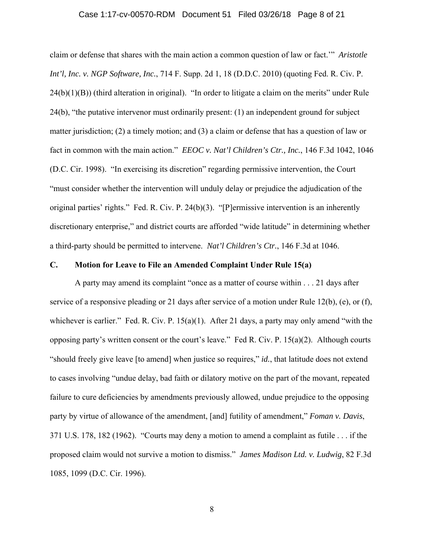#### Case 1:17-cv-00570-RDM Document 51 Filed 03/26/18 Page 8 of 21

claim or defense that shares with the main action a common question of law or fact.'" *Aristotle Int'l, Inc. v. NGP Software, Inc.*, 714 F. Supp. 2d 1, 18 (D.D.C. 2010) (quoting Fed. R. Civ. P. 24(b)(1)(B)) (third alteration in original). "In order to litigate a claim on the merits" under Rule 24(b), "the putative intervenor must ordinarily present: (1) an independent ground for subject matter jurisdiction; (2) a timely motion; and (3) a claim or defense that has a question of law or fact in common with the main action." *EEOC v. Nat'l Children's Ctr., Inc.*, 146 F.3d 1042, 1046 (D.C. Cir. 1998). "In exercising its discretion" regarding permissive intervention, the Court "must consider whether the intervention will unduly delay or prejudice the adjudication of the original parties' rights." Fed. R. Civ. P. 24(b)(3). "[P]ermissive intervention is an inherently discretionary enterprise," and district courts are afforded "wide latitude" in determining whether a third-party should be permitted to intervene. *Nat'l Children's Ctr.*, 146 F.3d at 1046.

### **C. Motion for Leave to File an Amended Complaint Under Rule 15(a)**

A party may amend its complaint "once as a matter of course within . . . 21 days after service of a responsive pleading or 21 days after service of a motion under Rule 12(b), (e), or (f), whichever is earlier." Fed. R. Civ. P.  $15(a)(1)$ . After 21 days, a party may only amend "with the opposing party's written consent or the court's leave." Fed R. Civ. P. 15(a)(2). Although courts "should freely give leave [to amend] when justice so requires," *id.*, that latitude does not extend to cases involving "undue delay, bad faith or dilatory motive on the part of the movant, repeated failure to cure deficiencies by amendments previously allowed, undue prejudice to the opposing party by virtue of allowance of the amendment, [and] futility of amendment," *Foman v. Davis*, 371 U.S. 178, 182 (1962). "Courts may deny a motion to amend a complaint as futile . . . if the proposed claim would not survive a motion to dismiss." *James Madison Ltd. v. Ludwig*, 82 F.3d 1085, 1099 (D.C. Cir. 1996).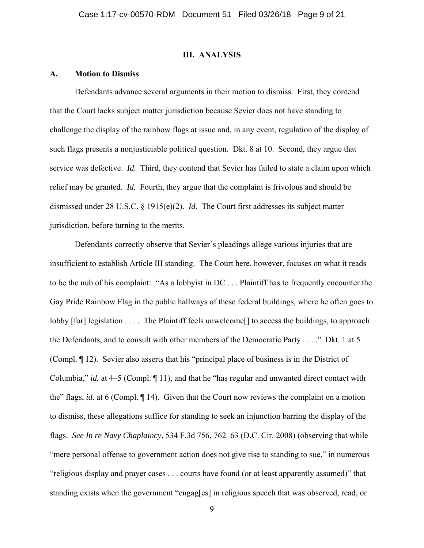### **III. ANALYSIS**

### **A. Motion to Dismiss**

Defendants advance several arguments in their motion to dismiss. First, they contend that the Court lacks subject matter jurisdiction because Sevier does not have standing to challenge the display of the rainbow flags at issue and, in any event, regulation of the display of such flags presents a nonjusticiable political question. Dkt. 8 at 10. Second, they argue that service was defective. *Id.* Third, they contend that Sevier has failed to state a claim upon which relief may be granted. *Id.* Fourth, they argue that the complaint is frivolous and should be dismissed under 28 U.S.C. § 1915(e)(2). *Id*. The Court first addresses its subject matter jurisdiction, before turning to the merits.

Defendants correctly observe that Sevier's pleadings allege various injuries that are insufficient to establish Article III standing. The Court here, however, focuses on what it reads to be the nub of his complaint: "As a lobbyist in DC . . . Plaintiff has to frequently encounter the Gay Pride Rainbow Flag in the public hallways of these federal buildings, where he often goes to lobby [for] legislation . . . . The Plaintiff feels unwelcome[] to access the buildings, to approach the Defendants, and to consult with other members of the Democratic Party . . . ." Dkt. 1 at 5 (Compl. ¶ 12). Sevier also asserts that his "principal place of business is in the District of Columbia," *id.* at 4–5 (Compl. ¶ 11), and that he "has regular and unwanted direct contact with the" flags, *id*. at 6 (Compl. ¶ 14). Given that the Court now reviews the complaint on a motion to dismiss, these allegations suffice for standing to seek an injunction barring the display of the flags. *See In re Navy Chaplaincy*, 534 F.3d 756, 762–63 (D.C. Cir. 2008) (observing that while "mere personal offense to government action does not give rise to standing to sue," in numerous "religious display and prayer cases . . . courts have found (or at least apparently assumed)" that standing exists when the government "engag[es] in religious speech that was observed, read, or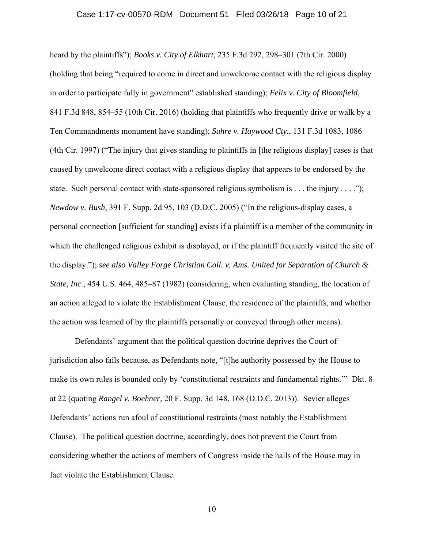#### Case 1:17-cv-00570-RDM Document 51 Filed 03/26/18 Page 10 of 21

heard by the plaintiffs"); *Books v. City of Elkhart*, 235 F.3d 292, 298–301 (7th Cir. 2000) (holding that being "required to come in direct and unwelcome contact with the religious display in order to participate fully in government" established standing); *Felix v. City of Bloomfield*, 841 F.3d 848, 854–55 (10th Cir. 2016) (holding that plaintiffs who frequently drive or walk by a Ten Commandments monument have standing); *Suhre v. Haywood Cty.*, 131 F.3d 1083, 1086 (4th Cir. 1997) ("The injury that gives standing to plaintiffs in [the religious display] cases is that caused by unwelcome direct contact with a religious display that appears to be endorsed by the state. Such personal contact with state-sponsored religious symbolism is . . . the injury . . . ."); *Newdow v. Bush*, 391 F. Supp. 2d 95, 103 (D.D.C. 2005) ("In the religious-display cases, a personal connection [sufficient for standing] exists if a plaintiff is a member of the community in which the challenged religious exhibit is displayed, or if the plaintiff frequently visited the site of the display."); *see also Valley Forge Christian Coll. v. Ams. United for Separation of Church & State, Inc.*, 454 U.S. 464, 485–87 (1982) (considering, when evaluating standing, the location of an action alleged to violate the Establishment Clause, the residence of the plaintiffs, and whether the action was learned of by the plaintiffs personally or conveyed through other means).

Defendants' argument that the political question doctrine deprives the Court of jurisdiction also fails because, as Defendants note, "[t]he authority possessed by the House to make its own rules is bounded only by 'constitutional restraints and fundamental rights.'" Dkt. 8 at 22 (quoting *Rangel v. Boehner*, 20 F. Supp. 3d 148, 168 (D.D.C. 2013)). Sevier alleges Defendants' actions run afoul of constitutional restraints (most notably the Establishment Clause). The political question doctrine, accordingly, does not prevent the Court from considering whether the actions of members of Congress inside the halls of the House may in fact violate the Establishment Clause.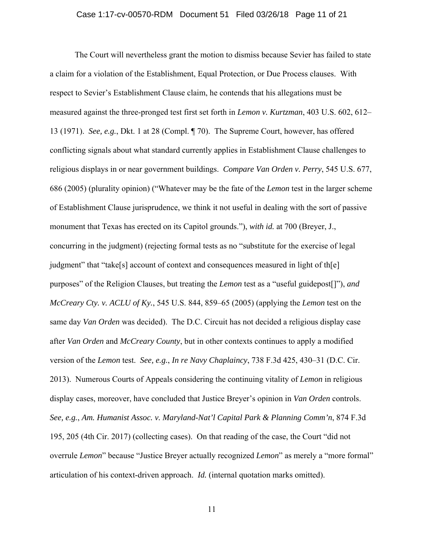#### Case 1:17-cv-00570-RDM Document 51 Filed 03/26/18 Page 11 of 21

The Court will nevertheless grant the motion to dismiss because Sevier has failed to state a claim for a violation of the Establishment, Equal Protection, or Due Process clauses. With respect to Sevier's Establishment Clause claim, he contends that his allegations must be measured against the three-pronged test first set forth in *Lemon v. Kurtzman*, 403 U.S. 602, 612– 13 (1971). *See, e.g.*, Dkt. 1 at 28 (Compl. ¶ 70). The Supreme Court, however, has offered conflicting signals about what standard currently applies in Establishment Clause challenges to religious displays in or near government buildings. *Compare Van Orden v. Perry*, 545 U.S. 677, 686 (2005) (plurality opinion) ("Whatever may be the fate of the *Lemon* test in the larger scheme of Establishment Clause jurisprudence, we think it not useful in dealing with the sort of passive monument that Texas has erected on its Capitol grounds."), *with id.* at 700 (Breyer, J., concurring in the judgment) (rejecting formal tests as no "substitute for the exercise of legal judgment" that "take[s] account of context and consequences measured in light of th[e] purposes" of the Religion Clauses, but treating the *Lemon* test as a "useful guidepost[]"), *and McCreary Cty. v. ACLU of Ky.*, 545 U.S. 844, 859–65 (2005) (applying the *Lemon* test on the same day *Van Orden* was decided). The D.C. Circuit has not decided a religious display case after *Van Orden* and *McCreary County*, but in other contexts continues to apply a modified version of the *Lemon* test. *See, e.g.*, *In re Navy Chaplaincy*, 738 F.3d 425, 430–31 (D.C. Cir. 2013). Numerous Courts of Appeals considering the continuing vitality of *Lemon* in religious display cases, moreover, have concluded that Justice Breyer's opinion in *Van Orden* controls. *See, e.g.*, *Am. Humanist Assoc. v. Maryland-Nat'l Capital Park & Planning Comm'n*, 874 F.3d 195, 205 (4th Cir. 2017) (collecting cases). On that reading of the case, the Court "did not overrule *Lemon*" because "Justice Breyer actually recognized *Lemon*" as merely a "more formal" articulation of his context-driven approach. *Id.* (internal quotation marks omitted).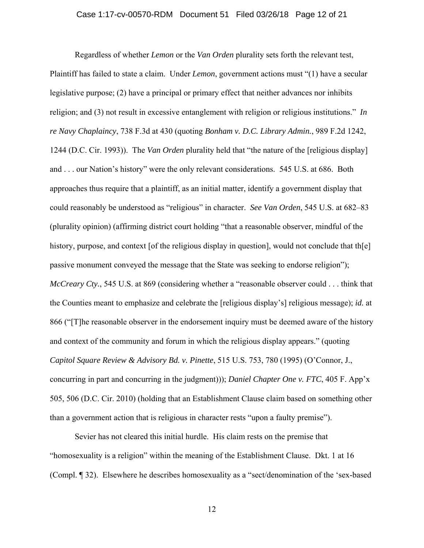#### Case 1:17-cv-00570-RDM Document 51 Filed 03/26/18 Page 12 of 21

Regardless of whether *Lemon* or the *Van Orden* plurality sets forth the relevant test, Plaintiff has failed to state a claim. Under *Lemon*, government actions must "(1) have a secular legislative purpose; (2) have a principal or primary effect that neither advances nor inhibits religion; and (3) not result in excessive entanglement with religion or religious institutions." *In re Navy Chaplaincy*, 738 F.3d at 430 (quoting *Bonham v. D.C. Library Admin.*, 989 F.2d 1242, 1244 (D.C. Cir. 1993)). The *Van Orden* plurality held that "the nature of the [religious display] and . . . our Nation's history" were the only relevant considerations. 545 U.S. at 686. Both approaches thus require that a plaintiff, as an initial matter, identify a government display that could reasonably be understood as "religious" in character. *See Van Orden*, 545 U.S. at 682–83 (plurality opinion) (affirming district court holding "that a reasonable observer, mindful of the history, purpose, and context [of the religious display in question], would not conclude that th[e] passive monument conveyed the message that the State was seeking to endorse religion"); *McCreary Cty.*, 545 U.S. at 869 (considering whether a "reasonable observer could . . . think that the Counties meant to emphasize and celebrate the [religious display's] religious message); *id.* at 866 ("[T]he reasonable observer in the endorsement inquiry must be deemed aware of the history and context of the community and forum in which the religious display appears." (quoting *Capitol Square Review & Advisory Bd. v. Pinette*, 515 U.S. 753, 780 (1995) (O'Connor, J., concurring in part and concurring in the judgment))); *Daniel Chapter One v. FTC*, 405 F. App'x 505, 506 (D.C. Cir. 2010) (holding that an Establishment Clause claim based on something other than a government action that is religious in character rests "upon a faulty premise").

Sevier has not cleared this initial hurdle. His claim rests on the premise that "homosexuality is a religion" within the meaning of the Establishment Clause. Dkt. 1 at 16 (Compl. ¶ 32). Elsewhere he describes homosexuality as a "sect/denomination of the 'sex-based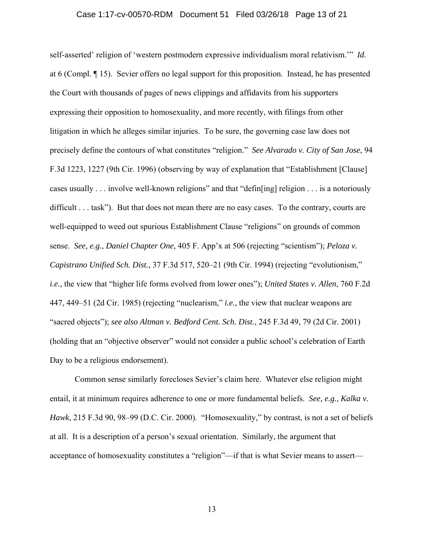#### Case 1:17-cv-00570-RDM Document 51 Filed 03/26/18 Page 13 of 21

self-asserted' religion of 'western postmodern expressive individualism moral relativism.'" *Id.*  at 6 (Compl. ¶ 15). Sevier offers no legal support for this proposition. Instead, he has presented the Court with thousands of pages of news clippings and affidavits from his supporters expressing their opposition to homosexuality, and more recently, with filings from other litigation in which he alleges similar injuries. To be sure, the governing case law does not precisely define the contours of what constitutes "religion." *See Alvarado v. City of San Jose*, 94 F.3d 1223, 1227 (9th Cir. 1996) (observing by way of explanation that "Establishment [Clause] cases usually . . . involve well-known religions" and that "defin[ing] religion . . . is a notoriously difficult . . . task"). But that does not mean there are no easy cases. To the contrary, courts are well-equipped to weed out spurious Establishment Clause "religions" on grounds of common sense. *See, e.g.*, *Daniel Chapter One*, 405 F. App'x at 506 (rejecting "scientism"); *Peloza v. Capistrano Unified Sch. Dist.*, 37 F.3d 517, 520–21 (9th Cir. 1994) (rejecting "evolutionism," *i.e.*, the view that "higher life forms evolved from lower ones"); *United States v. Allen*, 760 F.2d 447, 449–51 (2d Cir. 1985) (rejecting "nuclearism," *i.e.*, the view that nuclear weapons are "sacred objects"); *see also Altman v. Bedford Cent. Sch. Dist.*, 245 F.3d 49, 79 (2d Cir. 2001) (holding that an "objective observer" would not consider a public school's celebration of Earth Day to be a religious endorsement).

Common sense similarly forecloses Sevier's claim here. Whatever else religion might entail, it at minimum requires adherence to one or more fundamental beliefs. *See, e.g.*, *Kalka v. Hawk*, 215 F.3d 90, 98–99 (D.C. Cir. 2000). "Homosexuality," by contrast, is not a set of beliefs at all. It is a description of a person's sexual orientation. Similarly, the argument that acceptance of homosexuality constitutes a "religion"—if that is what Sevier means to assert—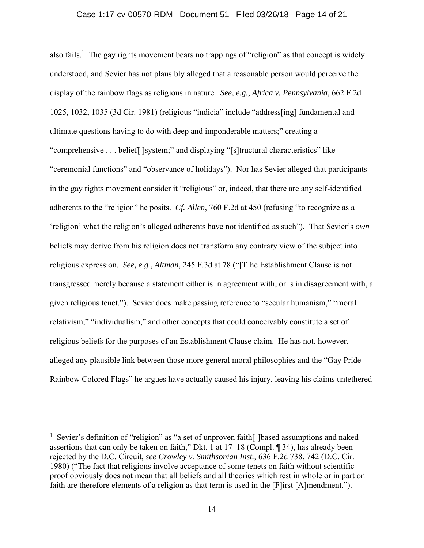### Case 1:17-cv-00570-RDM Document 51 Filed 03/26/18 Page 14 of 21

also fails.<sup>1</sup> The gay rights movement bears no trappings of "religion" as that concept is widely understood, and Sevier has not plausibly alleged that a reasonable person would perceive the display of the rainbow flags as religious in nature. *See, e.g.*, *Africa v. Pennsylvania*, 662 F.2d 1025, 1032, 1035 (3d Cir. 1981) (religious "indicia" include "address[ing] fundamental and ultimate questions having to do with deep and imponderable matters;" creating a "comprehensive . . . belief[ ]system;" and displaying "[s]tructural characteristics" like "ceremonial functions" and "observance of holidays"). Nor has Sevier alleged that participants in the gay rights movement consider it "religious" or, indeed, that there are any self-identified adherents to the "religion" he posits. *Cf. Allen*, 760 F.2d at 450 (refusing "to recognize as a 'religion' what the religion's alleged adherents have not identified as such"). That Sevier's *own*  beliefs may derive from his religion does not transform any contrary view of the subject into religious expression. *See, e.g.*, *Altman*, 245 F.3d at 78 ("[T]he Establishment Clause is not transgressed merely because a statement either is in agreement with, or is in disagreement with, a given religious tenet."). Sevier does make passing reference to "secular humanism," "moral relativism," "individualism," and other concepts that could conceivably constitute a set of religious beliefs for the purposes of an Establishment Clause claim. He has not, however, alleged any plausible link between those more general moral philosophies and the "Gay Pride Rainbow Colored Flags" he argues have actually caused his injury, leaving his claims untethered

 $\overline{a}$ 

<sup>&</sup>lt;sup>1</sup> Sevier's definition of "religion" as "a set of unproven faith[-]based assumptions and naked assertions that can only be taken on faith," Dkt. 1 at 17–18 (Compl. ¶ 34), has already been rejected by the D.C. Circuit, *see Crowley v. Smithsonian Inst.*, 636 F.2d 738, 742 (D.C. Cir. 1980) ("The fact that religions involve acceptance of some tenets on faith without scientific proof obviously does not mean that all beliefs and all theories which rest in whole or in part on faith are therefore elements of a religion as that term is used in the [F]irst [A]mendment.").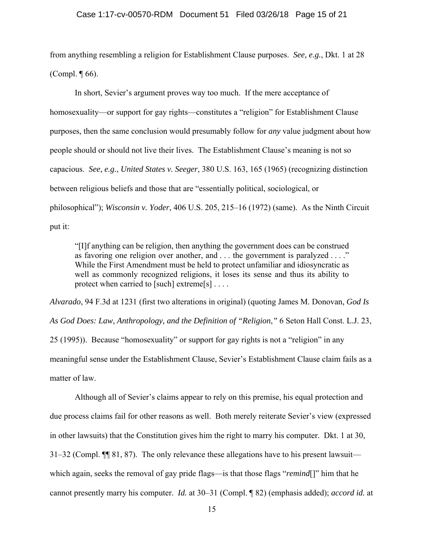#### Case 1:17-cv-00570-RDM Document 51 Filed 03/26/18 Page 15 of 21

from anything resembling a religion for Establishment Clause purposes. *See, e.g.*, Dkt. 1 at 28 (Compl. ¶ 66).

In short, Sevier's argument proves way too much. If the mere acceptance of homosexuality—or support for gay rights—constitutes a "religion" for Establishment Clause purposes, then the same conclusion would presumably follow for *any* value judgment about how people should or should not live their lives. The Establishment Clause's meaning is not so capacious. *See, e.g.*, *United States v. Seeger*, 380 U.S. 163, 165 (1965) (recognizing distinction between religious beliefs and those that are "essentially political, sociological, or philosophical"); *Wisconsin v. Yoder*, 406 U.S. 205, 215–16 (1972) (same). As the Ninth Circuit put it:

"[I]f anything can be religion, then anything the government does can be construed as favoring one religion over another, and . . . the government is paralyzed . . . ." While the First Amendment must be held to protect unfamiliar and idiosyncratic as well as commonly recognized religions, it loses its sense and thus its ability to protect when carried to [such] extreme[s] . . . .

*Alvarado*, 94 F.3d at 1231 (first two alterations in original) (quoting James M. Donovan, *God Is As God Does: Law, Anthropology, and the Definition of "Religion*,*"* 6 Seton Hall Const. L.J. 23, 25 (1995)). Because "homosexuality" or support for gay rights is not a "religion" in any meaningful sense under the Establishment Clause, Sevier's Establishment Clause claim fails as a matter of law.

Although all of Sevier's claims appear to rely on this premise, his equal protection and due process claims fail for other reasons as well. Both merely reiterate Sevier's view (expressed in other lawsuits) that the Constitution gives him the right to marry his computer. Dkt. 1 at 30, 31–32 (Compl. ¶¶ 81, 87). The only relevance these allegations have to his present lawsuit which again, seeks the removal of gay pride flags—is that those flags "*remind*[]" him that he cannot presently marry his computer. *Id.* at 30–31 (Compl. ¶ 82) (emphasis added); *accord id.* at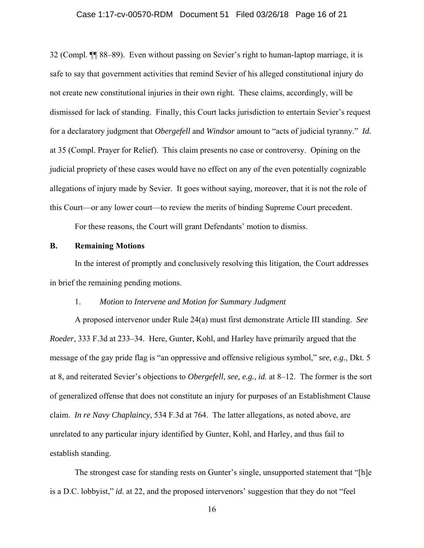### Case 1:17-cv-00570-RDM Document 51 Filed 03/26/18 Page 16 of 21

32 (Compl. ¶¶ 88–89). Even without passing on Sevier's right to human-laptop marriage, it is safe to say that government activities that remind Sevier of his alleged constitutional injury do not create new constitutional injuries in their own right. These claims, accordingly, will be dismissed for lack of standing. Finally, this Court lacks jurisdiction to entertain Sevier's request for a declaratory judgment that *Obergefell* and *Windsor* amount to "acts of judicial tyranny." *Id.*  at 35 (Compl. Prayer for Relief). This claim presents no case or controversy. Opining on the judicial propriety of these cases would have no effect on any of the even potentially cognizable allegations of injury made by Sevier. It goes without saying, moreover, that it is not the role of this Court—or any lower court—to review the merits of binding Supreme Court precedent.

For these reasons, the Court will grant Defendants' motion to dismiss.

# **B. Remaining Motions**

In the interest of promptly and conclusively resolving this litigation, the Court addresses in brief the remaining pending motions.

# 1. *Motion to Intervene and Motion for Summary Judgment*

A proposed intervenor under Rule 24(a) must first demonstrate Article III standing. *See Roeder*, 333 F.3d at 233–34. Here, Gunter, Kohl, and Harley have primarily argued that the message of the gay pride flag is "an oppressive and offensive religious symbol," *see, e.g.*, Dkt. 5 at 8, and reiterated Sevier's objections to *Obergefell*, *see, e.g.*, *id.* at 8–12. The former is the sort of generalized offense that does not constitute an injury for purposes of an Establishment Clause claim. *In re Navy Chaplaincy*, 534 F.3d at 764. The latter allegations, as noted above, are unrelated to any particular injury identified by Gunter, Kohl, and Harley, and thus fail to establish standing.

The strongest case for standing rests on Gunter's single, unsupported statement that "[h]e is a D.C. lobbyist," *id.* at 22, and the proposed intervenors' suggestion that they do not "feel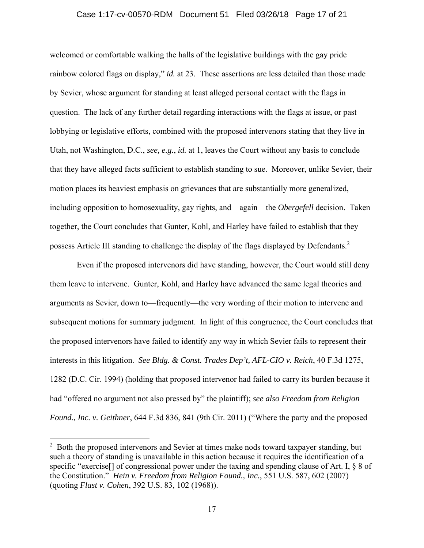### Case 1:17-cv-00570-RDM Document 51 Filed 03/26/18 Page 17 of 21

welcomed or comfortable walking the halls of the legislative buildings with the gay pride rainbow colored flags on display," *id.* at 23. These assertions are less detailed than those made by Sevier, whose argument for standing at least alleged personal contact with the flags in question. The lack of any further detail regarding interactions with the flags at issue, or past lobbying or legislative efforts, combined with the proposed intervenors stating that they live in Utah, not Washington, D.C., *see, e.g.*, *id.* at 1, leaves the Court without any basis to conclude that they have alleged facts sufficient to establish standing to sue. Moreover, unlike Sevier, their motion places its heaviest emphasis on grievances that are substantially more generalized, including opposition to homosexuality, gay rights, and—again—the *Obergefell* decision. Taken together, the Court concludes that Gunter, Kohl, and Harley have failed to establish that they possess Article III standing to challenge the display of the flags displayed by Defendants.2

 Even if the proposed intervenors did have standing, however, the Court would still deny them leave to intervene. Gunter, Kohl, and Harley have advanced the same legal theories and arguments as Sevier, down to—frequently—the very wording of their motion to intervene and subsequent motions for summary judgment. In light of this congruence, the Court concludes that the proposed intervenors have failed to identify any way in which Sevier fails to represent their interests in this litigation. *See Bldg. & Const. Trades Dep't, AFL-CIO v. Reich*, 40 F.3d 1275, 1282 (D.C. Cir. 1994) (holding that proposed intervenor had failed to carry its burden because it had "offered no argument not also pressed by" the plaintiff); *see also Freedom from Religion Found., Inc. v. Geithner*, 644 F.3d 836, 841 (9th Cir. 2011) ("Where the party and the proposed

 $\overline{a}$ 

<sup>&</sup>lt;sup>2</sup> Both the proposed intervenors and Sevier at times make nods toward taxpayer standing, but such a theory of standing is unavailable in this action because it requires the identification of a specific "exercise<sup>[]</sup> of congressional power under the taxing and spending clause of Art. I, § 8 of the Constitution." *Hein v. Freedom from Religion Found., Inc.*, 551 U.S. 587, 602 (2007) (quoting *Flast v. Cohen*, 392 U.S. 83, 102 (1968)).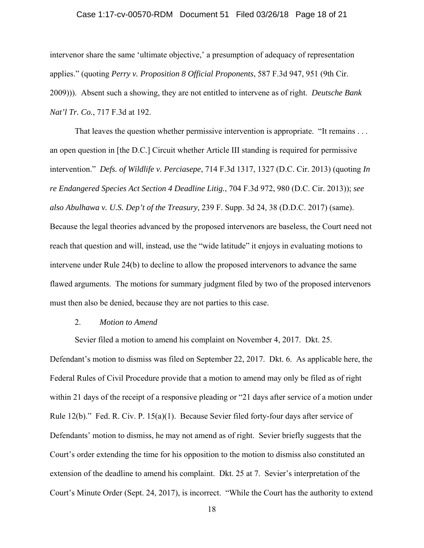#### Case 1:17-cv-00570-RDM Document 51 Filed 03/26/18 Page 18 of 21

intervenor share the same 'ultimate objective,' a presumption of adequacy of representation applies." (quoting *Perry v. Proposition 8 Official Proponents*, 587 F.3d 947, 951 (9th Cir. 2009))). Absent such a showing, they are not entitled to intervene as of right. *Deutsche Bank Nat'l Tr. Co.*, 717 F.3d at 192.

That leaves the question whether permissive intervention is appropriate. "It remains . . . an open question in [the D.C.] Circuit whether Article III standing is required for permissive intervention." *Defs. of Wildlife v. Perciasepe*, 714 F.3d 1317, 1327 (D.C. Cir. 2013) (quoting *In re Endangered Species Act Section 4 Deadline Litig.*, 704 F.3d 972, 980 (D.C. Cir. 2013)); *see also Abulhawa v. U.S. Dep't of the Treasury*, 239 F. Supp. 3d 24, 38 (D.D.C. 2017) (same). Because the legal theories advanced by the proposed intervenors are baseless, the Court need not reach that question and will, instead, use the "wide latitude" it enjoys in evaluating motions to intervene under Rule 24(b) to decline to allow the proposed intervenors to advance the same flawed arguments. The motions for summary judgment filed by two of the proposed intervenors must then also be denied, because they are not parties to this case.

### 2. *Motion to Amend*

Sevier filed a motion to amend his complaint on November 4, 2017. Dkt. 25.

Defendant's motion to dismiss was filed on September 22, 2017. Dkt. 6. As applicable here, the Federal Rules of Civil Procedure provide that a motion to amend may only be filed as of right within 21 days of the receipt of a responsive pleading or "21 days after service of a motion under Rule 12(b)." Fed. R. Civ. P. 15(a)(1). Because Sevier filed forty-four days after service of Defendants' motion to dismiss, he may not amend as of right. Sevier briefly suggests that the Court's order extending the time for his opposition to the motion to dismiss also constituted an extension of the deadline to amend his complaint. Dkt. 25 at 7. Sevier's interpretation of the Court's Minute Order (Sept. 24, 2017), is incorrect. "While the Court has the authority to extend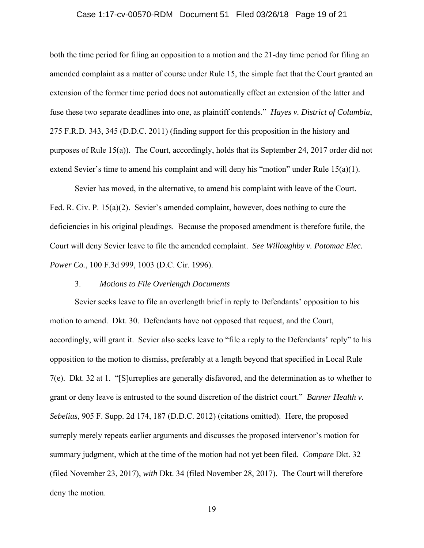#### Case 1:17-cv-00570-RDM Document 51 Filed 03/26/18 Page 19 of 21

both the time period for filing an opposition to a motion and the 21-day time period for filing an amended complaint as a matter of course under Rule 15, the simple fact that the Court granted an extension of the former time period does not automatically effect an extension of the latter and fuse these two separate deadlines into one, as plaintiff contends." *Hayes v. District of Columbia*, 275 F.R.D. 343, 345 (D.D.C. 2011) (finding support for this proposition in the history and purposes of Rule 15(a)). The Court, accordingly, holds that its September 24, 2017 order did not extend Sevier's time to amend his complaint and will deny his "motion" under Rule 15(a)(1).

Sevier has moved, in the alternative, to amend his complaint with leave of the Court. Fed. R. Civ. P. 15(a)(2). Sevier's amended complaint, however, does nothing to cure the deficiencies in his original pleadings. Because the proposed amendment is therefore futile, the Court will deny Sevier leave to file the amended complaint. *See Willoughby v. Potomac Elec. Power Co.*, 100 F.3d 999, 1003 (D.C. Cir. 1996).

### 3. *Motions to File Overlength Documents*

Sevier seeks leave to file an overlength brief in reply to Defendants' opposition to his motion to amend. Dkt. 30. Defendants have not opposed that request, and the Court, accordingly, will grant it. Sevier also seeks leave to "file a reply to the Defendants' reply" to his opposition to the motion to dismiss, preferably at a length beyond that specified in Local Rule 7(e). Dkt. 32 at 1. "[S]urreplies are generally disfavored, and the determination as to whether to grant or deny leave is entrusted to the sound discretion of the district court." *Banner Health v. Sebelius*, 905 F. Supp. 2d 174, 187 (D.D.C. 2012) (citations omitted). Here, the proposed surreply merely repeats earlier arguments and discusses the proposed intervenor's motion for summary judgment, which at the time of the motion had not yet been filed. *Compare* Dkt. 32 (filed November 23, 2017), *with* Dkt. 34 (filed November 28, 2017). The Court will therefore deny the motion.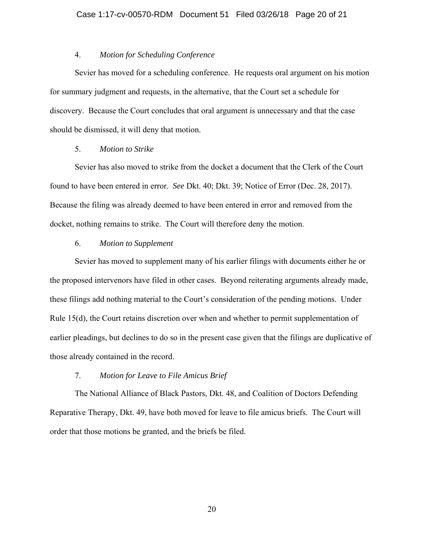# 4. *Motion for Scheduling Conference*

Sevier has moved for a scheduling conference. He requests oral argument on his motion for summary judgment and requests, in the alternative, that the Court set a schedule for discovery. Because the Court concludes that oral argument is unnecessary and that the case should be dismissed, it will deny that motion.

# 5. *Motion to Strike*

Sevier has also moved to strike from the docket a document that the Clerk of the Court found to have been entered in error. *See* Dkt. 40; Dkt. 39; Notice of Error (Dec. 28, 2017). Because the filing was already deemed to have been entered in error and removed from the docket, nothing remains to strike. The Court will therefore deny the motion.

# 6. *Motion to Supplement*

Sevier has moved to supplement many of his earlier filings with documents either he or the proposed intervenors have filed in other cases. Beyond reiterating arguments already made, these filings add nothing material to the Court's consideration of the pending motions. Under Rule 15(d), the Court retains discretion over when and whether to permit supplementation of earlier pleadings, but declines to do so in the present case given that the filings are duplicative of those already contained in the record.

### 7. *Motion for Leave to File Amicus Brief*

The National Alliance of Black Pastors, Dkt. 48, and Coalition of Doctors Defending Reparative Therapy, Dkt. 49, have both moved for leave to file amicus briefs. The Court will order that those motions be granted, and the briefs be filed.